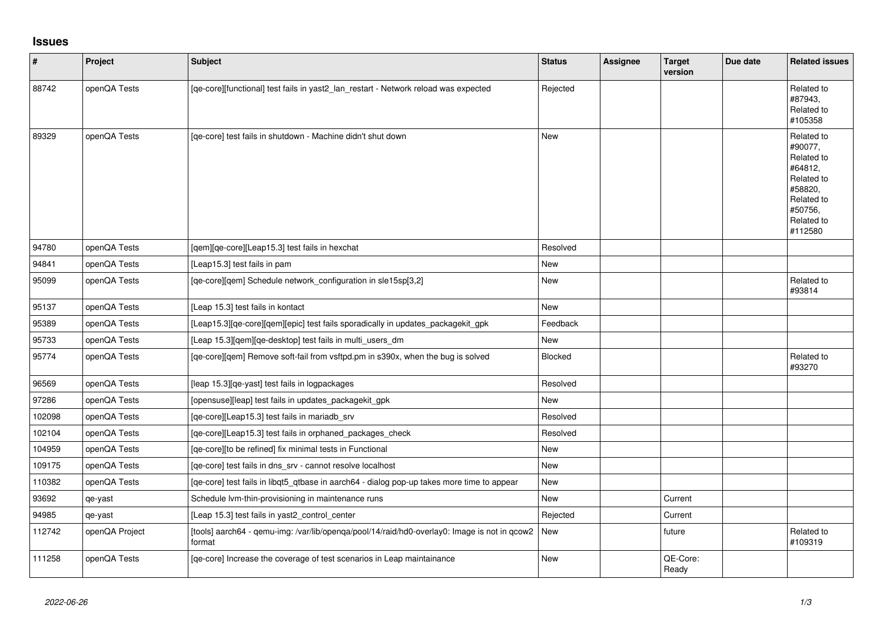## **Issues**

| #      | Project        | Subject                                                                                                | <b>Status</b>  | Assignee | <b>Target</b><br>version | Due date | <b>Related issues</b>                                                                                                     |
|--------|----------------|--------------------------------------------------------------------------------------------------------|----------------|----------|--------------------------|----------|---------------------------------------------------------------------------------------------------------------------------|
| 88742  | openQA Tests   | [qe-core][functional] test fails in yast2_lan_restart - Network reload was expected                    | Rejected       |          |                          |          | Related to<br>#87943,<br>Related to<br>#105358                                                                            |
| 89329  | openQA Tests   | [ge-core] test fails in shutdown - Machine didn't shut down                                            | <b>New</b>     |          |                          |          | Related to<br>#90077,<br>Related to<br>#64812,<br>Related to<br>#58820,<br>Related to<br>#50756,<br>Related to<br>#112580 |
| 94780  | openQA Tests   | [qem][qe-core][Leap15.3] test fails in hexchat                                                         | Resolved       |          |                          |          |                                                                                                                           |
| 94841  | openQA Tests   | [Leap15.3] test fails in pam                                                                           | New            |          |                          |          |                                                                                                                           |
| 95099  | openQA Tests   | [ge-core][gem] Schedule network configuration in sle15sp[3,2]                                          | <b>New</b>     |          |                          |          | Related to<br>#93814                                                                                                      |
| 95137  | openQA Tests   | [Leap 15.3] test fails in kontact                                                                      | <b>New</b>     |          |                          |          |                                                                                                                           |
| 95389  | openQA Tests   | [Leap15.3][qe-core][qem][epic] test fails sporadically in updates_packagekit_gpk                       | Feedback       |          |                          |          |                                                                                                                           |
| 95733  | openQA Tests   | [Leap 15.3][qem][qe-desktop] test fails in multi_users_dm                                              | New            |          |                          |          |                                                                                                                           |
| 95774  | openQA Tests   | [qe-core][qem] Remove soft-fail from vsftpd.pm in s390x, when the bug is solved                        | <b>Blocked</b> |          |                          |          | Related to<br>#93270                                                                                                      |
| 96569  | openQA Tests   | [leap 15.3][qe-yast] test fails in logpackages                                                         | Resolved       |          |                          |          |                                                                                                                           |
| 97286  | openQA Tests   | [opensuse][leap] test fails in updates_packagekit_gpk                                                  | <b>New</b>     |          |                          |          |                                                                                                                           |
| 102098 | openQA Tests   | [qe-core][Leap15.3] test fails in mariadb_srv                                                          | Resolved       |          |                          |          |                                                                                                                           |
| 102104 | openQA Tests   | [qe-core][Leap15.3] test fails in orphaned_packages_check                                              | Resolved       |          |                          |          |                                                                                                                           |
| 104959 | openQA Tests   | [qe-core][to be refined] fix minimal tests in Functional                                               | New            |          |                          |          |                                                                                                                           |
| 109175 | openQA Tests   | [qe-core] test fails in dns_srv - cannot resolve localhost                                             | New            |          |                          |          |                                                                                                                           |
| 110382 | openQA Tests   | [qe-core] test fails in libqt5_qtbase in aarch64 - dialog pop-up takes more time to appear             | New            |          |                          |          |                                                                                                                           |
| 93692  | qe-yast        | Schedule Ivm-thin-provisioning in maintenance runs                                                     | New            |          | Current                  |          |                                                                                                                           |
| 94985  | qe-yast        | [Leap 15.3] test fails in yast2 control center                                                         | Rejected       |          | Current                  |          |                                                                                                                           |
| 112742 | openQA Project | [tools] aarch64 - qemu-img: /var/lib/openqa/pool/14/raid/hd0-overlay0: Image is not in qcow2<br>format | New            |          | future                   |          | Related to<br>#109319                                                                                                     |
| 111258 | openQA Tests   | [qe-core] Increase the coverage of test scenarios in Leap maintainance                                 | <b>New</b>     |          | QE-Core:<br>Ready        |          |                                                                                                                           |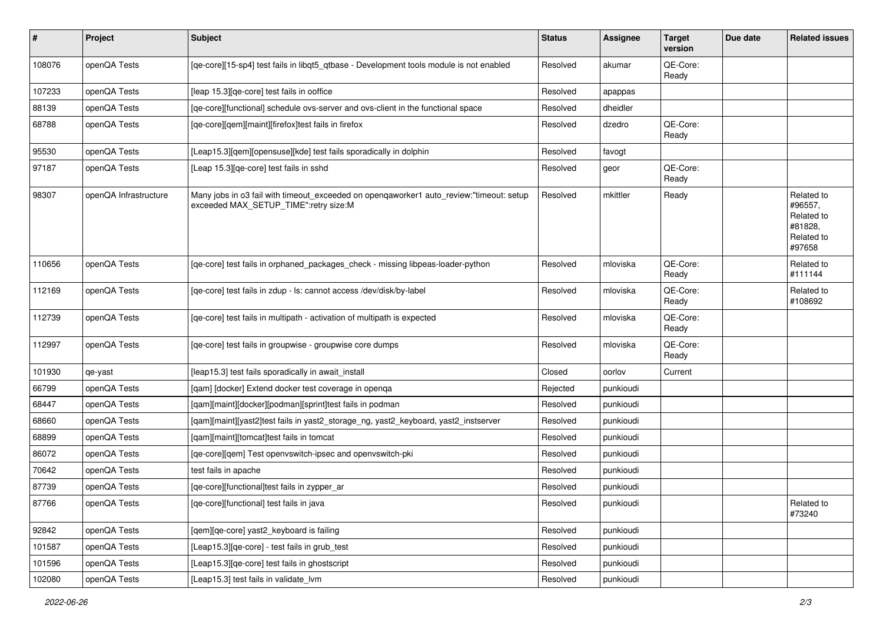| #      | Project               | Subject                                                                                                                          | <b>Status</b> | Assignee  | <b>Target</b><br>version | Due date | <b>Related issues</b>                                                  |
|--------|-----------------------|----------------------------------------------------------------------------------------------------------------------------------|---------------|-----------|--------------------------|----------|------------------------------------------------------------------------|
| 108076 | openQA Tests          | [qe-core][15-sp4] test fails in libqt5_qtbase - Development tools module is not enabled                                          | Resolved      | akumar    | QE-Core:<br>Ready        |          |                                                                        |
| 107233 | openQA Tests          | [leap 15.3][qe-core] test fails in ooffice                                                                                       | Resolved      | apappas   |                          |          |                                                                        |
| 88139  | openQA Tests          | [qe-core][functional] schedule ovs-server and ovs-client in the functional space                                                 | Resolved      | dheidler  |                          |          |                                                                        |
| 68788  | openQA Tests          | [qe-core][qem][maint][firefox]test fails in firefox                                                                              | Resolved      | dzedro    | QE-Core:<br>Ready        |          |                                                                        |
| 95530  | openQA Tests          | [Leap15.3][qem][opensuse][kde] test fails sporadically in dolphin                                                                | Resolved      | favogt    |                          |          |                                                                        |
| 97187  | openQA Tests          | [Leap 15.3][qe-core] test fails in sshd                                                                                          | Resolved      | geor      | QE-Core:<br>Ready        |          |                                                                        |
| 98307  | openQA Infrastructure | Many jobs in o3 fail with timeout_exceeded on openqaworker1 auto_review:"timeout: setup<br>exceeded MAX_SETUP_TIME":retry size:M | Resolved      | mkittler  | Ready                    |          | Related to<br>#96557,<br>Related to<br>#81828,<br>Related to<br>#97658 |
| 110656 | openQA Tests          | [qe-core] test fails in orphaned_packages_check - missing libpeas-loader-python                                                  | Resolved      | mloviska  | QE-Core:<br>Ready        |          | Related to<br>#111144                                                  |
| 112169 | openQA Tests          | [qe-core] test fails in zdup - ls: cannot access /dev/disk/by-label                                                              | Resolved      | mloviska  | QE-Core:<br>Ready        |          | Related to<br>#108692                                                  |
| 112739 | openQA Tests          | [qe-core] test fails in multipath - activation of multipath is expected                                                          | Resolved      | mloviska  | QE-Core:<br>Ready        |          |                                                                        |
| 112997 | openQA Tests          | [qe-core] test fails in groupwise - groupwise core dumps                                                                         | Resolved      | mloviska  | QE-Core:<br>Ready        |          |                                                                        |
| 101930 | qe-yast               | [leap15.3] test fails sporadically in await_install                                                                              | Closed        | oorlov    | Current                  |          |                                                                        |
| 66799  | openQA Tests          | [qam] [docker] Extend docker test coverage in openqa                                                                             | Rejected      | punkioudi |                          |          |                                                                        |
| 68447  | openQA Tests          | [qam][maint][docker][podman][sprint]test fails in podman                                                                         | Resolved      | punkioudi |                          |          |                                                                        |
| 68660  | openQA Tests          | [qam][maint][yast2]test fails in yast2_storage_ng, yast2_keyboard, yast2_instserver                                              | Resolved      | punkioudi |                          |          |                                                                        |
| 68899  | openQA Tests          | [qam][maint][tomcat]test fails in tomcat                                                                                         | Resolved      | punkioudi |                          |          |                                                                        |
| 86072  | openQA Tests          | [qe-core][qem] Test openvswitch-ipsec and openvswitch-pki                                                                        | Resolved      | punkioudi |                          |          |                                                                        |
| 70642  | openQA Tests          | test fails in apache                                                                                                             | Resolved      | punkioudi |                          |          |                                                                        |
| 87739  | openQA Tests          | [qe-core][functional]test fails in zypper_ar                                                                                     | Resolved      | punkioudi |                          |          |                                                                        |
| 87766  | openQA Tests          | [qe-core][functional] test fails in java                                                                                         | Resolved      | punkioudi |                          |          | Related to<br>#73240                                                   |
| 92842  | openQA Tests          | [qem][qe-core] yast2_keyboard is failing                                                                                         | Resolved      | punkioudi |                          |          |                                                                        |
| 101587 | openQA Tests          | [Leap15.3][qe-core] - test fails in grub_test                                                                                    | Resolved      | punkioudi |                          |          |                                                                        |
| 101596 | openQA Tests          | [Leap15.3][qe-core] test fails in ghostscript                                                                                    | Resolved      | punkioudi |                          |          |                                                                        |
| 102080 | openQA Tests          | [Leap15.3] test fails in validate_lvm                                                                                            | Resolved      | punkioudi |                          |          |                                                                        |